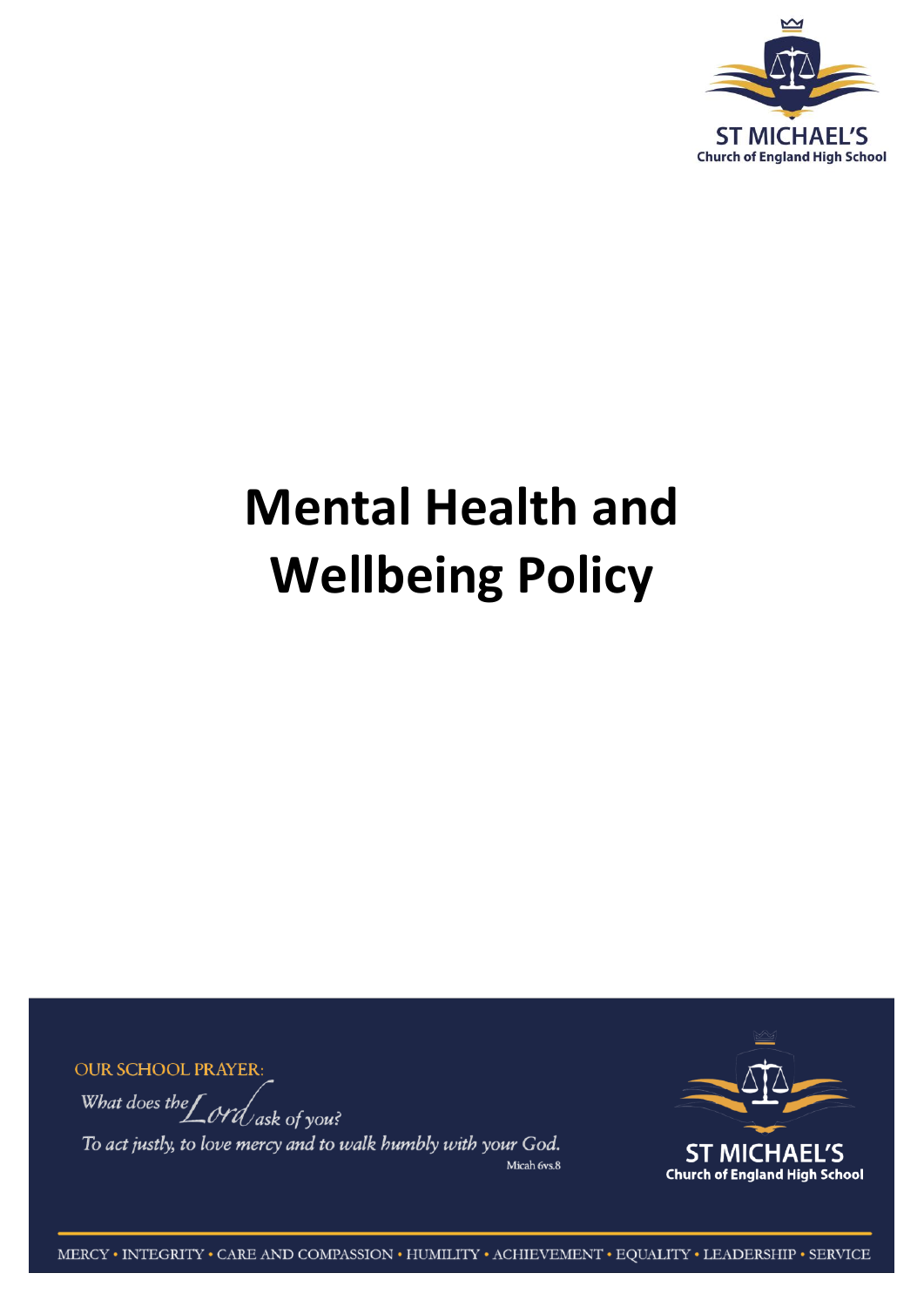

# **Mental Health and Wellbeing Policy**

**OUR SCHOOL PRAYER:** 

What does the  $\int$  ord ask of you? To act justly, to love mercy and to walk humbly with your God. Micah 6vs.8



MERCY • INTEGRITY • CARE AND COMPASSION • HUMILITY • ACHIEVEMENT • EQUALITY • LEADERSHIP • SERVICE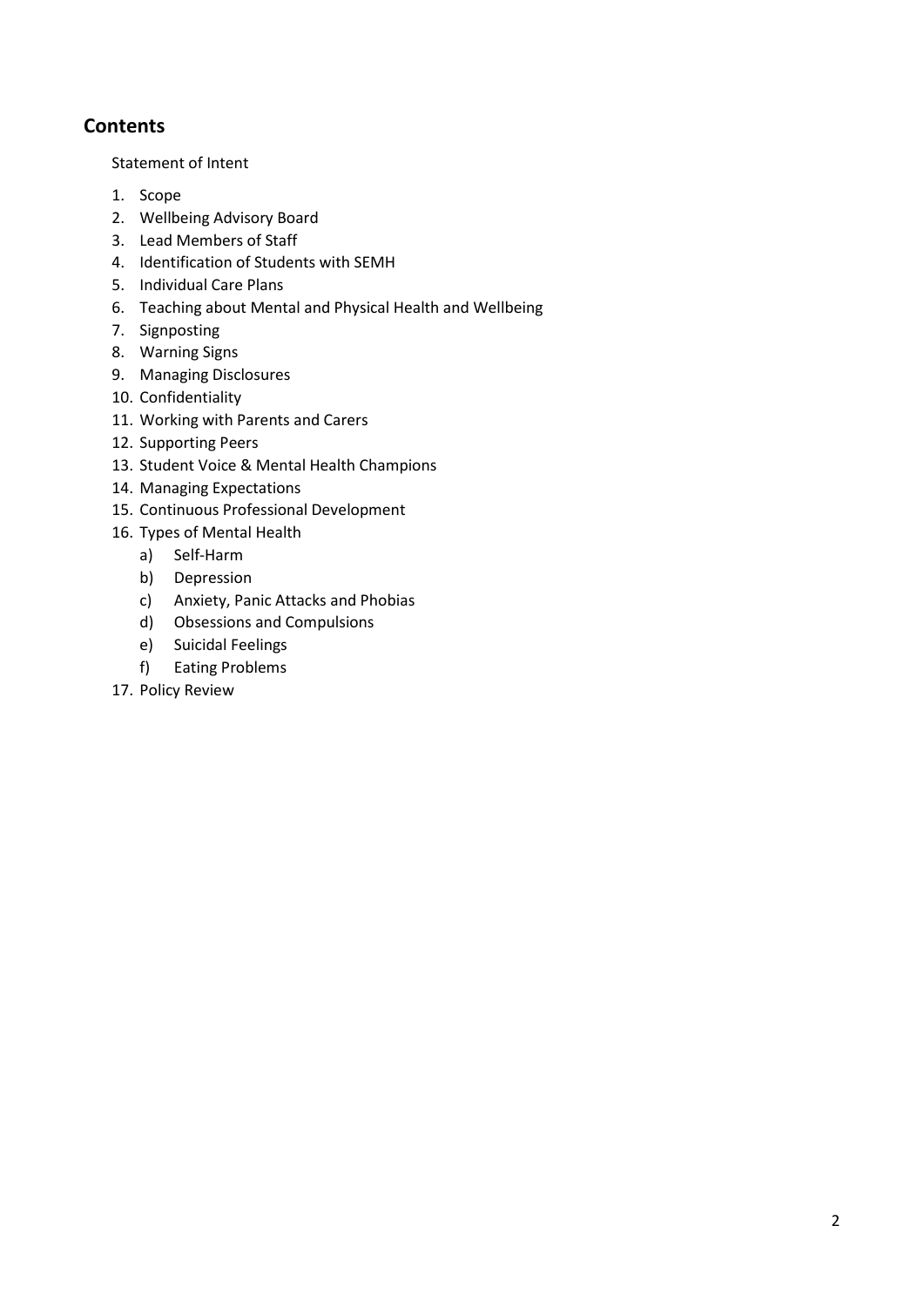# **Contents**

Statement of Intent

- 1. Scope
- 2. Wellbeing Advisory Board
- 3. Lead Members of Staff
- 4. Identification of Students with SEMH
- 5. Individual Care Plans
- 6. Teaching about Mental and Physical Health and Wellbeing
- 7. Signposting
- 8. Warning Signs
- 9. Managing Disclosures
- 10. Confidentiality
- 11. Working with Parents and Carers
- 12. Supporting Peers
- 13. Student Voice & Mental Health Champions
- 14. Managing Expectations
- 15. Continuous Professional Development
- 16. Types of Mental Health
	- a) Self-Harm
	- b) Depression
	- c) Anxiety, Panic Attacks and Phobias
	- d) Obsessions and Compulsions
	- e) Suicidal Feelings
	- f) Eating Problems
- 17. Policy Review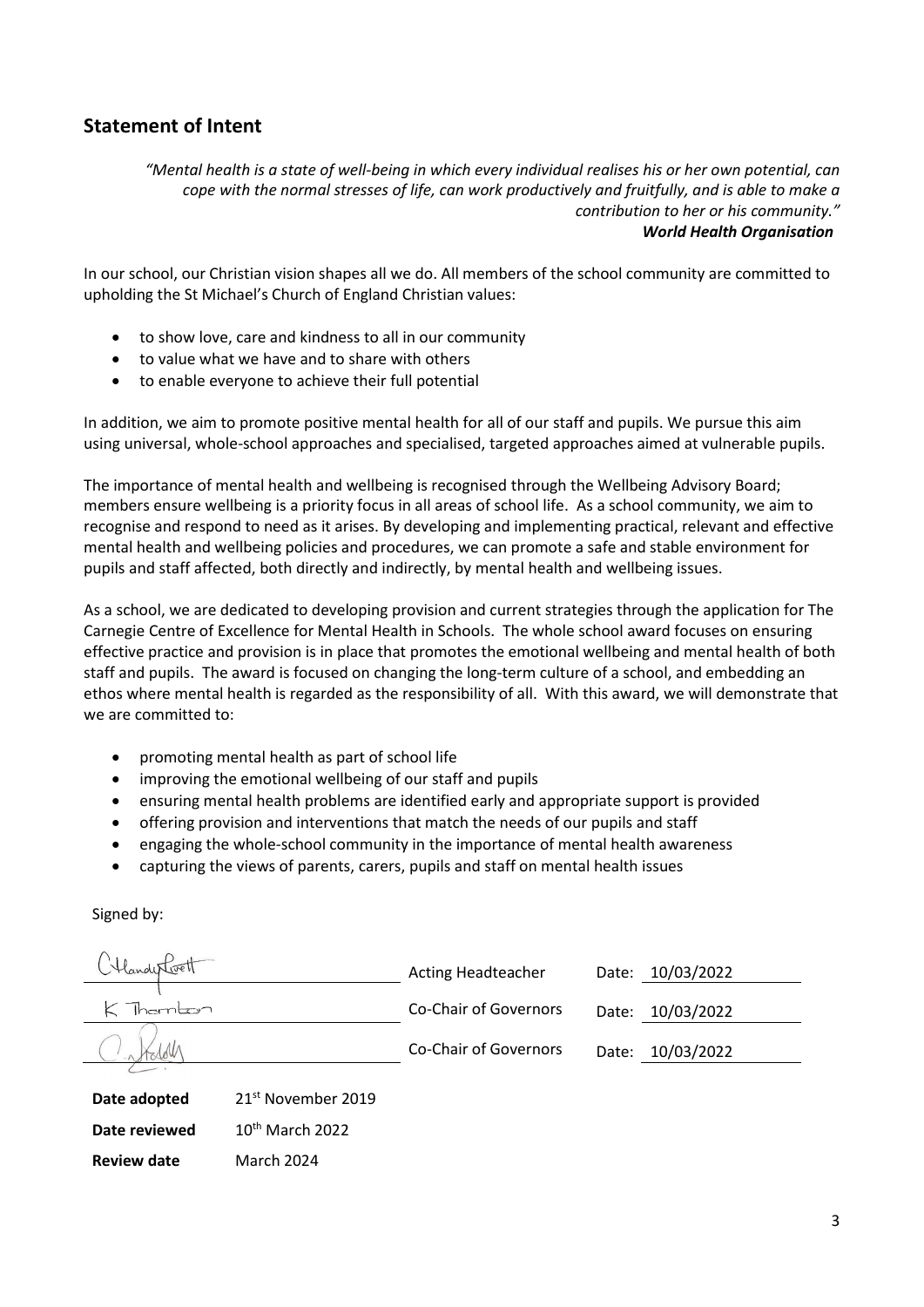## **Statement of Intent**

*"Mental health is a state of well-being in which every individual realises his or her own potential, can cope with the normal stresses of life, can work productively and fruitfully, and is able to make a contribution to her or his community." World Health Organisation*

In our school, our Christian vision shapes all we do. All members of the school community are committed to upholding the St Michael's Church of England Christian values:

- to show love, care and kindness to all in our community
- to value what we have and to share with others
- to enable everyone to achieve their full potential

In addition, we aim to promote positive mental health for all of our staff and pupils. We pursue this aim using universal, whole-school approaches and specialised, targeted approaches aimed at vulnerable pupils.

The importance of mental health and wellbeing is recognised through the Wellbeing Advisory Board; members ensure wellbeing is a priority focus in all areas of school life. As a school community, we aim to recognise and respond to need as it arises. By developing and implementing practical, relevant and effective mental health and wellbeing policies and procedures, we can promote a safe and stable environment for pupils and staff affected, both directly and indirectly, by mental health and wellbeing issues.

As a school, we are dedicated to developing provision and current strategies through the application for The Carnegie Centre of Excellence for Mental Health in Schools. The whole school award focuses on ensuring effective practice and provision is in place that promotes the emotional wellbeing and mental health of both staff and pupils. The award is focused on changing the long-term culture of a school, and embedding an ethos where mental health is regarded as the responsibility of all. With this award, we will demonstrate that we are committed to:

- promoting mental health as part of school life
- improving the emotional wellbeing of our staff and pupils
- ensuring mental health problems are identified early and appropriate support is provided
- offering provision and interventions that match the needs of our pupils and staff
- engaging the whole-school community in the importance of mental health awareness
- capturing the views of parents, carers, pupils and staff on mental health issues

Signed by:

Acting Headteacher Date: 10/03/2022 Therntzon Co-Chair of Governors Date: 10/03/2022 Co-Chair of Governors Date: 10/03/2022**Date adopted** 21st November 2019 **Date reviewed** 10<sup>th</sup> March 2022

**Review date** March 2024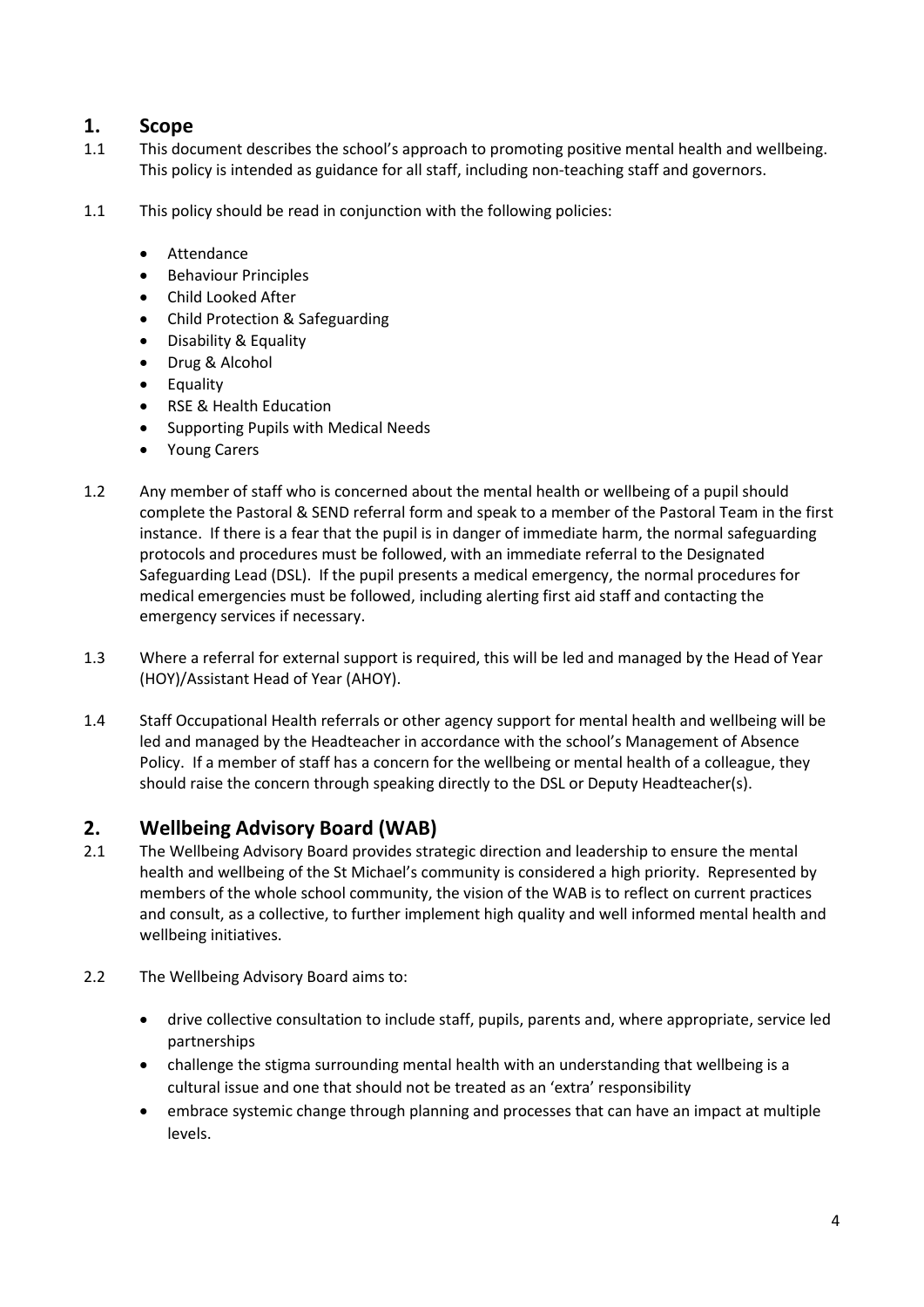## **1. Scope**

- 1.1 This document describes the school's approach to promoting positive mental health and wellbeing. This policy is intended as guidance for all staff, including non-teaching staff and governors.
- 1.1 This policy should be read in conjunction with the following policies:
	- Attendance
	- **•** Behaviour Principles
	- Child Looked After
	- Child Protection & Safeguarding
	- Disability & Equality
	- Drug & Alcohol
	- **•** Equality
	- RSE & Health Education
	- Supporting Pupils with Medical Needs
	- Young Carers
- 1.2 Any member of staff who is concerned about the mental health or wellbeing of a pupil should complete the Pastoral & SEND referral form and speak to a member of the Pastoral Team in the first instance. If there is a fear that the pupil is in danger of immediate harm, the normal safeguarding protocols and procedures must be followed, with an immediate referral to the Designated Safeguarding Lead (DSL). If the pupil presents a medical emergency, the normal procedures for medical emergencies must be followed, including alerting first aid staff and contacting the emergency services if necessary.
- 1.3 Where a referral for external support is required, this will be led and managed by the Head of Year (HOY)/Assistant Head of Year (AHOY).
- 1.4 Staff Occupational Health referrals or other agency support for mental health and wellbeing will be led and managed by the Headteacher in accordance with the school's Management of Absence Policy. If a member of staff has a concern for the wellbeing or mental health of a colleague, they should raise the concern through speaking directly to the DSL or Deputy Headteacher(s).

#### **2. Wellbeing Advisory Board (WAB)**

- 2.1 The Wellbeing Advisory Board provides strategic direction and leadership to ensure the mental health and wellbeing of the St Michael's community is considered a high priority. Represented by members of the whole school community, the vision of the WAB is to reflect on current practices and consult, as a collective, to further implement high quality and well informed mental health and wellbeing initiatives.
- 2.2 The Wellbeing Advisory Board aims to:
	- drive collective consultation to include staff, pupils, parents and, where appropriate, service led partnerships
	- challenge the stigma surrounding mental health with an understanding that wellbeing is a cultural issue and one that should not be treated as an 'extra' responsibility
	- embrace systemic change through planning and processes that can have an impact at multiple levels.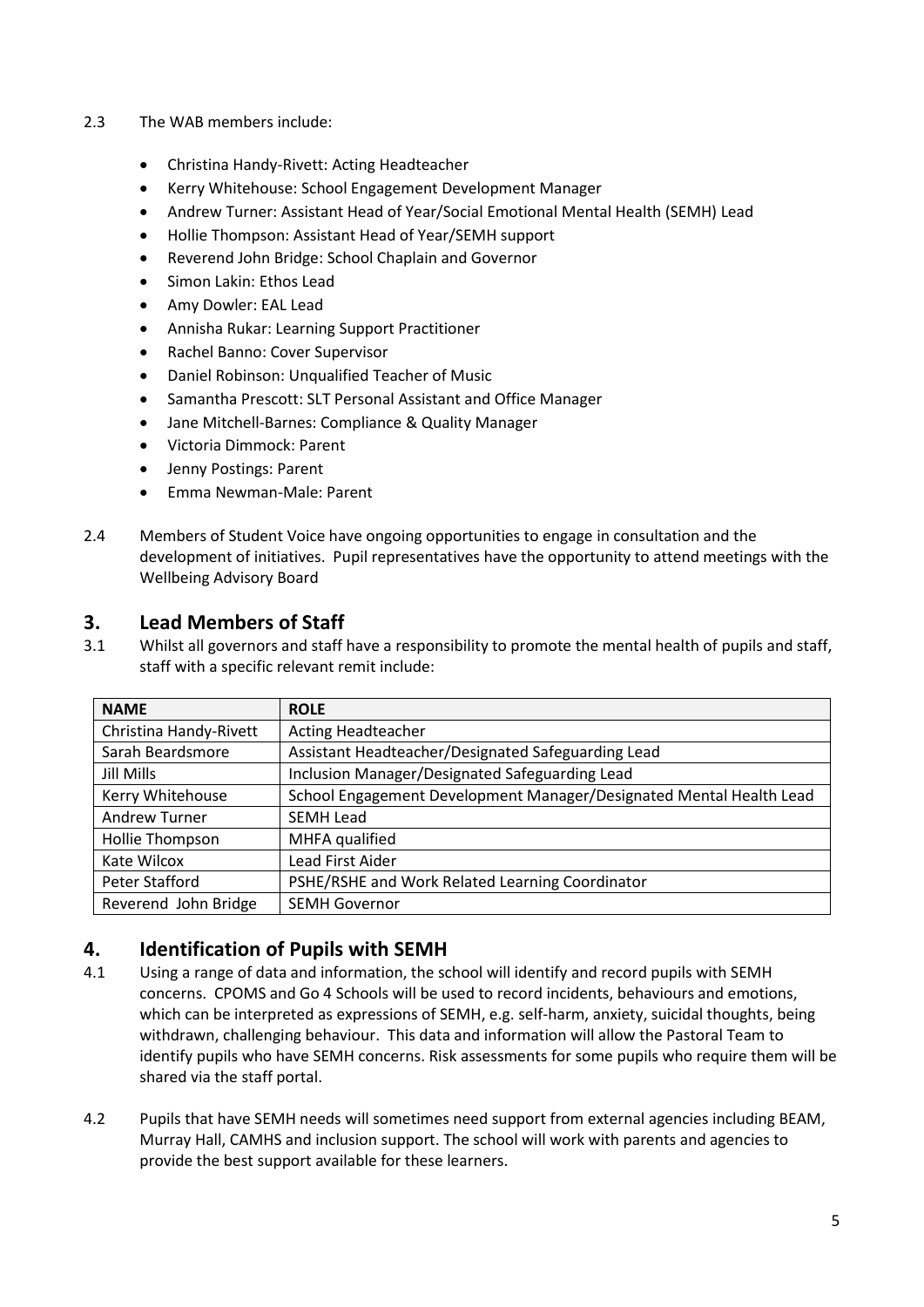- 2.3 The WAB members include:
	- Christina Handy-Rivett: Acting Headteacher
	- Kerry Whitehouse: School Engagement Development Manager
	- Andrew Turner: Assistant Head of Year/Social Emotional Mental Health (SEMH) Lead
	- Hollie Thompson: Assistant Head of Year/SEMH support
	- Reverend John Bridge: School Chaplain and Governor
	- Simon Lakin: Ethos Lead
	- Amy Dowler: EAL Lead
	- Annisha Rukar: Learning Support Practitioner
	- Rachel Banno: Cover Supervisor
	- Daniel Robinson: Unqualified Teacher of Music
	- Samantha Prescott: SLT Personal Assistant and Office Manager
	- Jane Mitchell-Barnes: Compliance & Quality Manager
	- Victoria Dimmock: Parent
	- Jenny Postings: Parent
	- Emma Newman-Male: Parent
- 2.4 Members of Student Voice have ongoing opportunities to engage in consultation and the development of initiatives. Pupil representatives have the opportunity to attend meetings with the Wellbeing Advisory Board

#### **3. Lead Members of Staff**

3.1 Whilst all governors and staff have a responsibility to promote the mental health of pupils and staff, staff with a specific relevant remit include:

| <b>NAME</b>            | <b>ROLE</b>                                                         |
|------------------------|---------------------------------------------------------------------|
| Christina Handy-Rivett | <b>Acting Headteacher</b>                                           |
| Sarah Beardsmore       | Assistant Headteacher/Designated Safeguarding Lead                  |
| <b>Jill Mills</b>      | Inclusion Manager/Designated Safeguarding Lead                      |
| Kerry Whitehouse       | School Engagement Development Manager/Designated Mental Health Lead |
| <b>Andrew Turner</b>   | <b>SEMH Lead</b>                                                    |
| Hollie Thompson        | MHFA qualified                                                      |
| Kate Wilcox            | Lead First Aider                                                    |
| Peter Stafford         | PSHE/RSHE and Work Related Learning Coordinator                     |
| Reverend John Bridge   | <b>SEMH Governor</b>                                                |

#### **4. Identification of Pupils with SEMH**

- 4.1 Using a range of data and information, the school will identify and record pupils with SEMH concerns. CPOMS and Go 4 Schools will be used to record incidents, behaviours and emotions, which can be interpreted as expressions of SEMH, e.g. self-harm, anxiety, suicidal thoughts, being withdrawn, challenging behaviour. This data and information will allow the Pastoral Team to identify pupils who have SEMH concerns. Risk assessments for some pupils who require them will be shared via the staff portal.
- 4.2 Pupils that have SEMH needs will sometimes need support from external agencies including BEAM, Murray Hall, CAMHS and inclusion support. The school will work with parents and agencies to provide the best support available for these learners.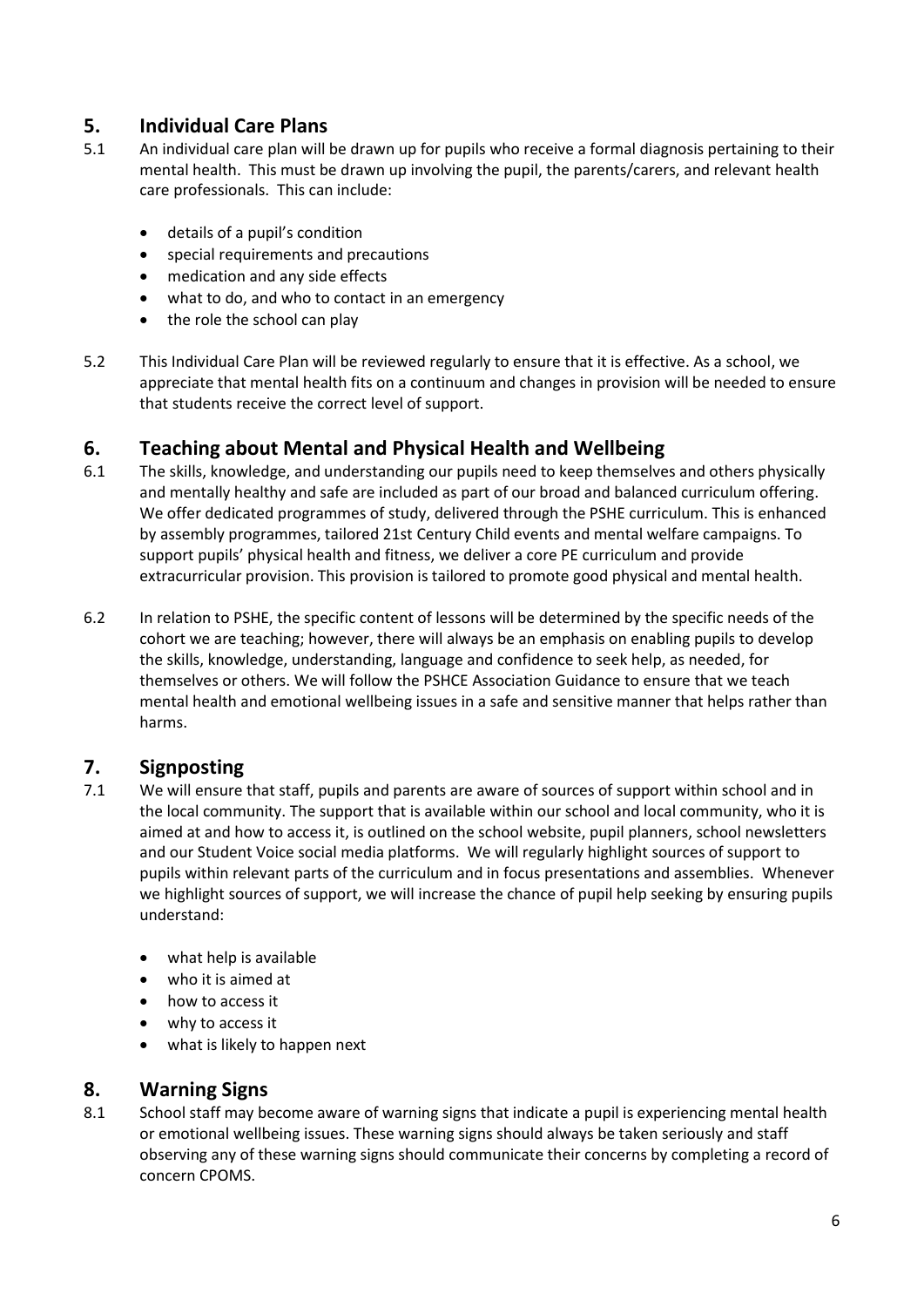# **5. Individual Care Plans**

- 5.1 An individual care plan will be drawn up for pupils who receive a formal diagnosis pertaining to their mental health. This must be drawn up involving the pupil, the parents/carers, and relevant health care professionals. This can include:
	- details of a pupil's condition
	- special requirements and precautions
	- medication and any side effects
	- what to do, and who to contact in an emergency
	- the role the school can play
- 5.2 This Individual Care Plan will be reviewed regularly to ensure that it is effective. As a school, we appreciate that mental health fits on a continuum and changes in provision will be needed to ensure that students receive the correct level of support.

## **6. Teaching about Mental and Physical Health and Wellbeing**

- 6.1 The skills, knowledge, and understanding our pupils need to keep themselves and others physically and mentally healthy and safe are included as part of our broad and balanced curriculum offering. We offer dedicated programmes of study, delivered through the PSHE curriculum. This is enhanced by assembly programmes, tailored 21st Century Child events and mental welfare campaigns. To support pupils' physical health and fitness, we deliver a core PE curriculum and provide extracurricular provision. This provision is tailored to promote good physical and mental health.
- 6.2 In relation to PSHE, the specific content of lessons will be determined by the specific needs of the cohort we are teaching; however, there will always be an emphasis on enabling pupils to develop the skills, knowledge, understanding, language and confidence to seek help, as needed, for themselves or others. We will follow the PSHCE Association Guidance to ensure that we teach mental health and emotional wellbeing issues in a safe and sensitive manner that helps rather than harms.

#### **7. Signposting**

- 7.1 We will ensure that staff, pupils and parents are aware of sources of support within school and in the local community. The support that is available within our school and local community, who it is aimed at and how to access it, is outlined on the school website, pupil planners, school newsletters and our Student Voice social media platforms. We will regularly highlight sources of support to pupils within relevant parts of the curriculum and in focus presentations and assemblies. Whenever we highlight sources of support, we will increase the chance of pupil help seeking by ensuring pupils understand:
	- what help is available
	- who it is aimed at
	- how to access it
	- why to access it
	- what is likely to happen next

#### **8. Warning Signs**

8.1 School staff may become aware of warning signs that indicate a pupil is experiencing mental health or emotional wellbeing issues. These warning signs should always be taken seriously and staff observing any of these warning signs should communicate their concerns by completing a record of concern CPOMS.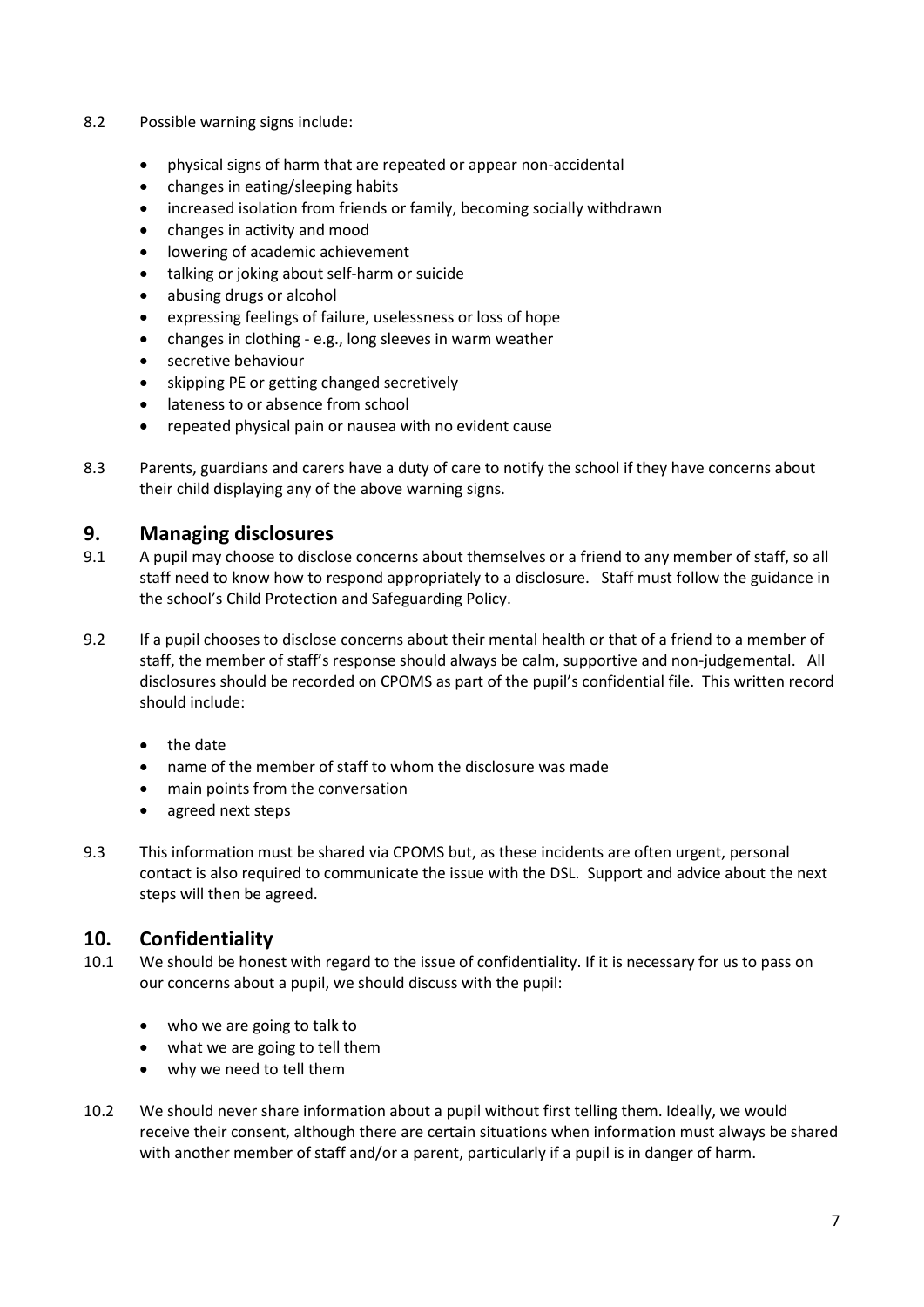- 8.2 Possible warning signs include:
	- physical signs of harm that are repeated or appear non-accidental
	- changes in eating/sleeping habits
	- increased isolation from friends or family, becoming socially withdrawn
	- changes in activity and mood
	- lowering of academic achievement
	- talking or joking about self-harm or suicide
	- abusing drugs or alcohol
	- expressing feelings of failure, uselessness or loss of hope
	- changes in clothing e.g., long sleeves in warm weather
	- **•** secretive behaviour
	- skipping PE or getting changed secretively
	- lateness to or absence from school
	- repeated physical pain or nausea with no evident cause
- 8.3 Parents, guardians and carers have a duty of care to notify the school if they have concerns about their child displaying any of the above warning signs.

#### **9. Managing disclosures**

- 9.1 A pupil may choose to disclose concerns about themselves or a friend to any member of staff, so all staff need to know how to respond appropriately to a disclosure. Staff must follow the guidance in the school's Child Protection and Safeguarding Policy.
- 9.2 If a pupil chooses to disclose concerns about their mental health or that of a friend to a member of staff, the member of staff's response should always be calm, supportive and non-judgemental. All disclosures should be recorded on CPOMS as part of the pupil's confidential file. This written record should include:
	- the date
	- name of the member of staff to whom the disclosure was made
	- main points from the conversation
	- agreed next steps
- 9.3 This information must be shared via CPOMS but, as these incidents are often urgent, personal contact is also required to communicate the issue with the DSL. Support and advice about the next steps will then be agreed.

#### **10. Confidentiality**

- 10.1 We should be honest with regard to the issue of confidentiality. If it is necessary for us to pass on our concerns about a pupil, we should discuss with the pupil:
	- who we are going to talk to
	- what we are going to tell them
	- why we need to tell them
- 10.2 We should never share information about a pupil without first telling them. Ideally, we would receive their consent, although there are certain situations when information must always be shared with another member of staff and/or a parent, particularly if a pupil is in danger of harm.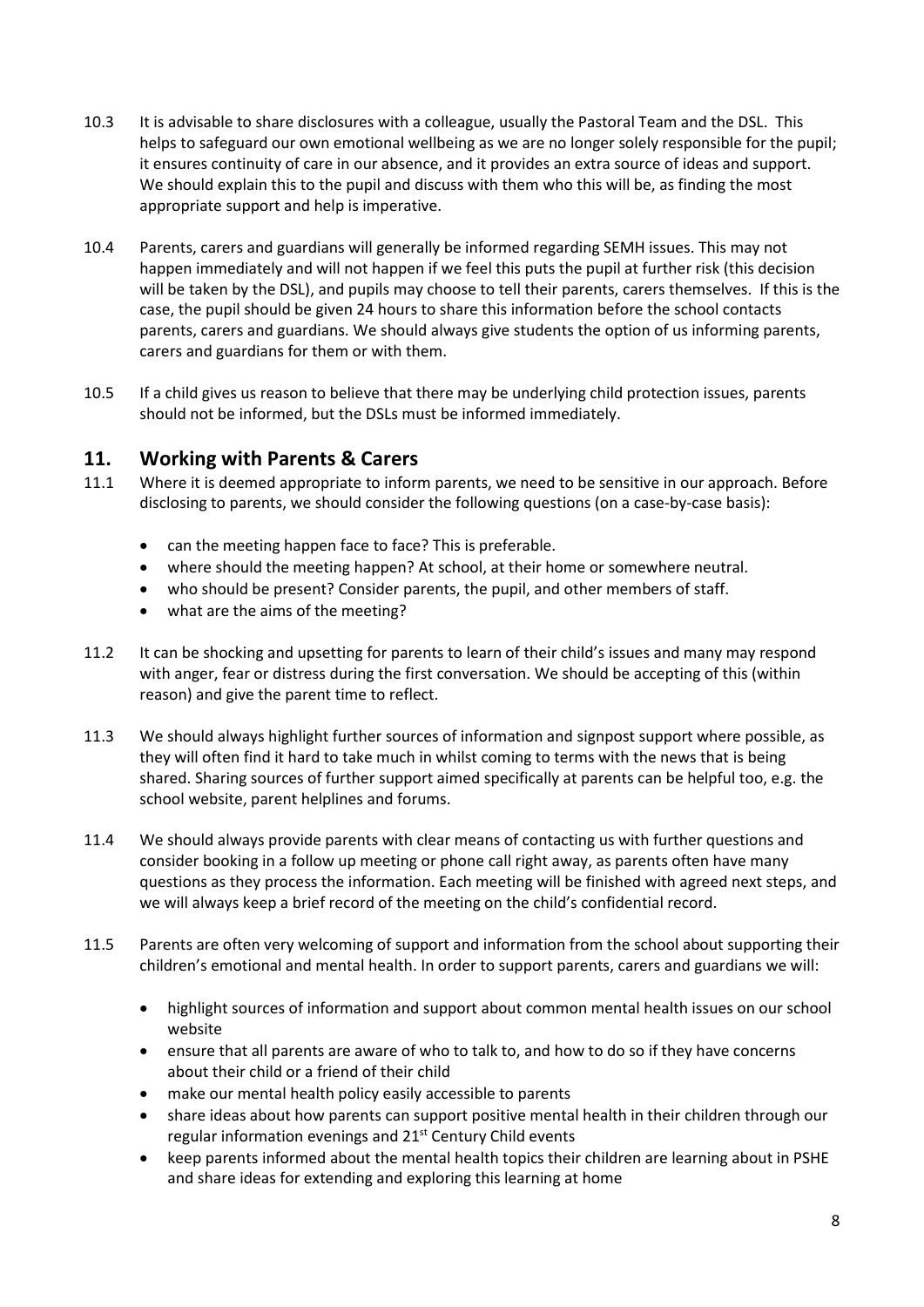- 10.3 It is advisable to share disclosures with a colleague, usually the Pastoral Team and the DSL. This helps to safeguard our own emotional wellbeing as we are no longer solely responsible for the pupil; it ensures continuity of care in our absence, and it provides an extra source of ideas and support. We should explain this to the pupil and discuss with them who this will be, as finding the most appropriate support and help is imperative.
- 10.4 Parents, carers and guardians will generally be informed regarding SEMH issues. This may not happen immediately and will not happen if we feel this puts the pupil at further risk (this decision will be taken by the DSL), and pupils may choose to tell their parents, carers themselves. If this is the case, the pupil should be given 24 hours to share this information before the school contacts parents, carers and guardians. We should always give students the option of us informing parents, carers and guardians for them or with them.
- 10.5 If a child gives us reason to believe that there may be underlying child protection issues, parents should not be informed, but the DSLs must be informed immediately.

#### **11. Working with Parents & Carers**

- 11.1 Where it is deemed appropriate to inform parents, we need to be sensitive in our approach. Before disclosing to parents, we should consider the following questions (on a case-by-case basis):
	- can the meeting happen face to face? This is preferable.
	- where should the meeting happen? At school, at their home or somewhere neutral.
	- who should be present? Consider parents, the pupil, and other members of staff.
	- what are the aims of the meeting?
- 11.2 It can be shocking and upsetting for parents to learn of their child's issues and many may respond with anger, fear or distress during the first conversation. We should be accepting of this (within reason) and give the parent time to reflect.
- 11.3 We should always highlight further sources of information and signpost support where possible, as they will often find it hard to take much in whilst coming to terms with the news that is being shared. Sharing sources of further support aimed specifically at parents can be helpful too, e.g. the school website, parent helplines and forums.
- 11.4 We should always provide parents with clear means of contacting us with further questions and consider booking in a follow up meeting or phone call right away, as parents often have many questions as they process the information. Each meeting will be finished with agreed next steps, and we will always keep a brief record of the meeting on the child's confidential record.
- 11.5 Parents are often very welcoming of support and information from the school about supporting their children's emotional and mental health. In order to support parents, carers and guardians we will:
	- highlight sources of information and support about common mental health issues on our school website
	- ensure that all parents are aware of who to talk to, and how to do so if they have concerns about their child or a friend of their child
	- make our mental health policy easily accessible to parents
	- share ideas about how parents can support positive mental health in their children through our regular information evenings and 21<sup>st</sup> Century Child events
	- keep parents informed about the mental health topics their children are learning about in PSHE and share ideas for extending and exploring this learning at home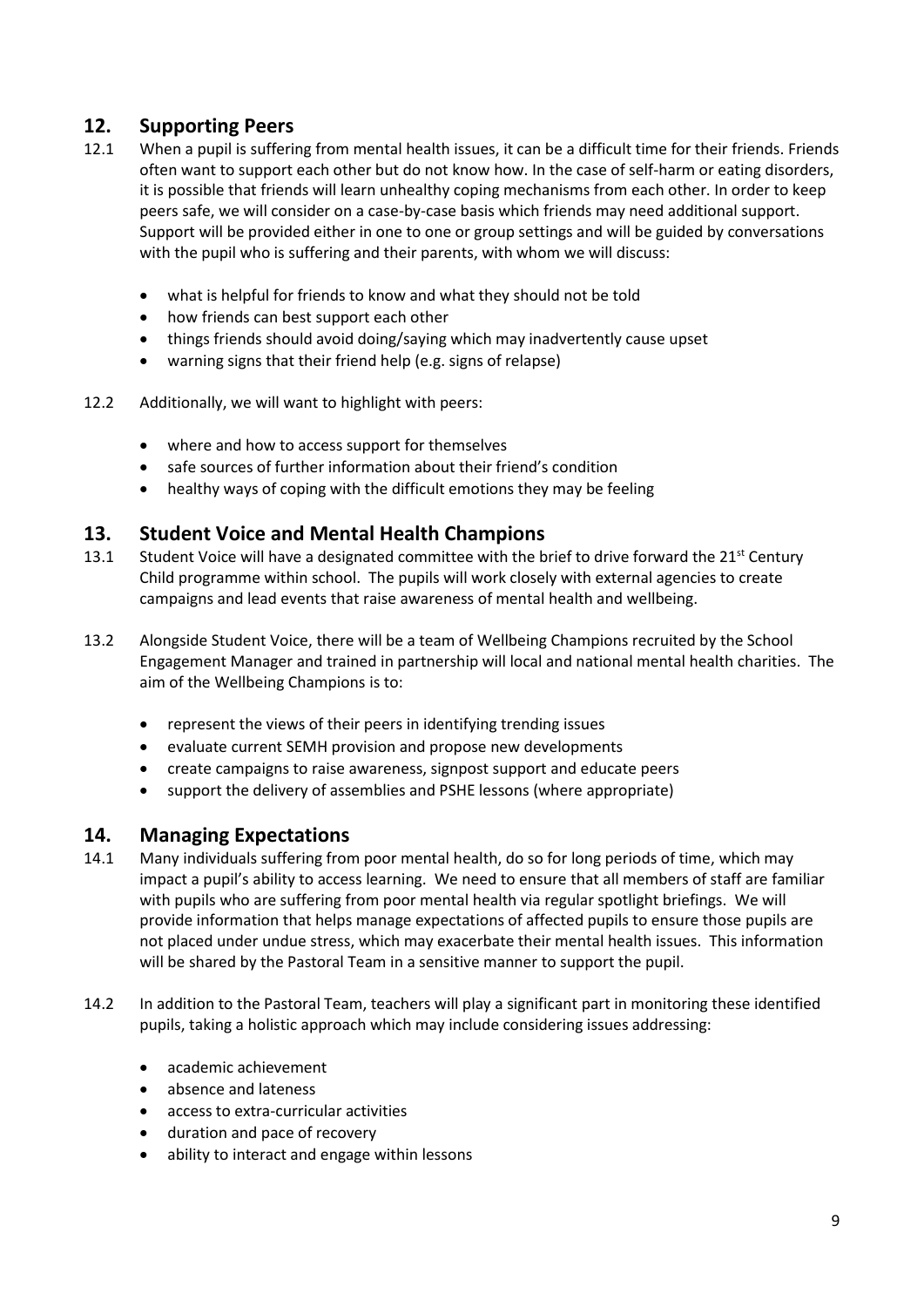# **12. Supporting Peers**

- 12.1 When a pupil is suffering from mental health issues, it can be a difficult time for their friends. Friends often want to support each other but do not know how. In the case of self-harm or eating disorders, it is possible that friends will learn unhealthy coping mechanisms from each other. In order to keep peers safe, we will consider on a case-by-case basis which friends may need additional support. Support will be provided either in one to one or group settings and will be guided by conversations with the pupil who is suffering and their parents, with whom we will discuss:
	- what is helpful for friends to know and what they should not be told
	- how friends can best support each other
	- things friends should avoid doing/saying which may inadvertently cause upset
	- warning signs that their friend help (e.g. signs of relapse)
- 12.2 Additionally, we will want to highlight with peers:
	- where and how to access support for themselves
	- safe sources of further information about their friend's condition
	- healthy ways of coping with the difficult emotions they may be feeling

#### **13. Student Voice and Mental Health Champions**

- 13.1 Student Voice will have a designated committee with the brief to drive forward the  $21<sup>st</sup>$  Century Child programme within school. The pupils will work closely with external agencies to create campaigns and lead events that raise awareness of mental health and wellbeing.
- 13.2 Alongside Student Voice, there will be a team of Wellbeing Champions recruited by the School Engagement Manager and trained in partnership will local and national mental health charities. The aim of the Wellbeing Champions is to:
	- represent the views of their peers in identifying trending issues
	- evaluate current SEMH provision and propose new developments
	- create campaigns to raise awareness, signpost support and educate peers
	- support the delivery of assemblies and PSHE lessons (where appropriate)

#### **14. Managing Expectations**

- 14.1 Many individuals suffering from poor mental health, do so for long periods of time, which may impact a pupil's ability to access learning. We need to ensure that all members of staff are familiar with pupils who are suffering from poor mental health via regular spotlight briefings. We will provide information that helps manage expectations of affected pupils to ensure those pupils are not placed under undue stress, which may exacerbate their mental health issues. This information will be shared by the Pastoral Team in a sensitive manner to support the pupil.
- 14.2 In addition to the Pastoral Team, teachers will play a significant part in monitoring these identified pupils, taking a holistic approach which may include considering issues addressing:
	- academic achievement
	- absence and lateness
	- access to extra-curricular activities
	- duration and pace of recovery
	- ability to interact and engage within lessons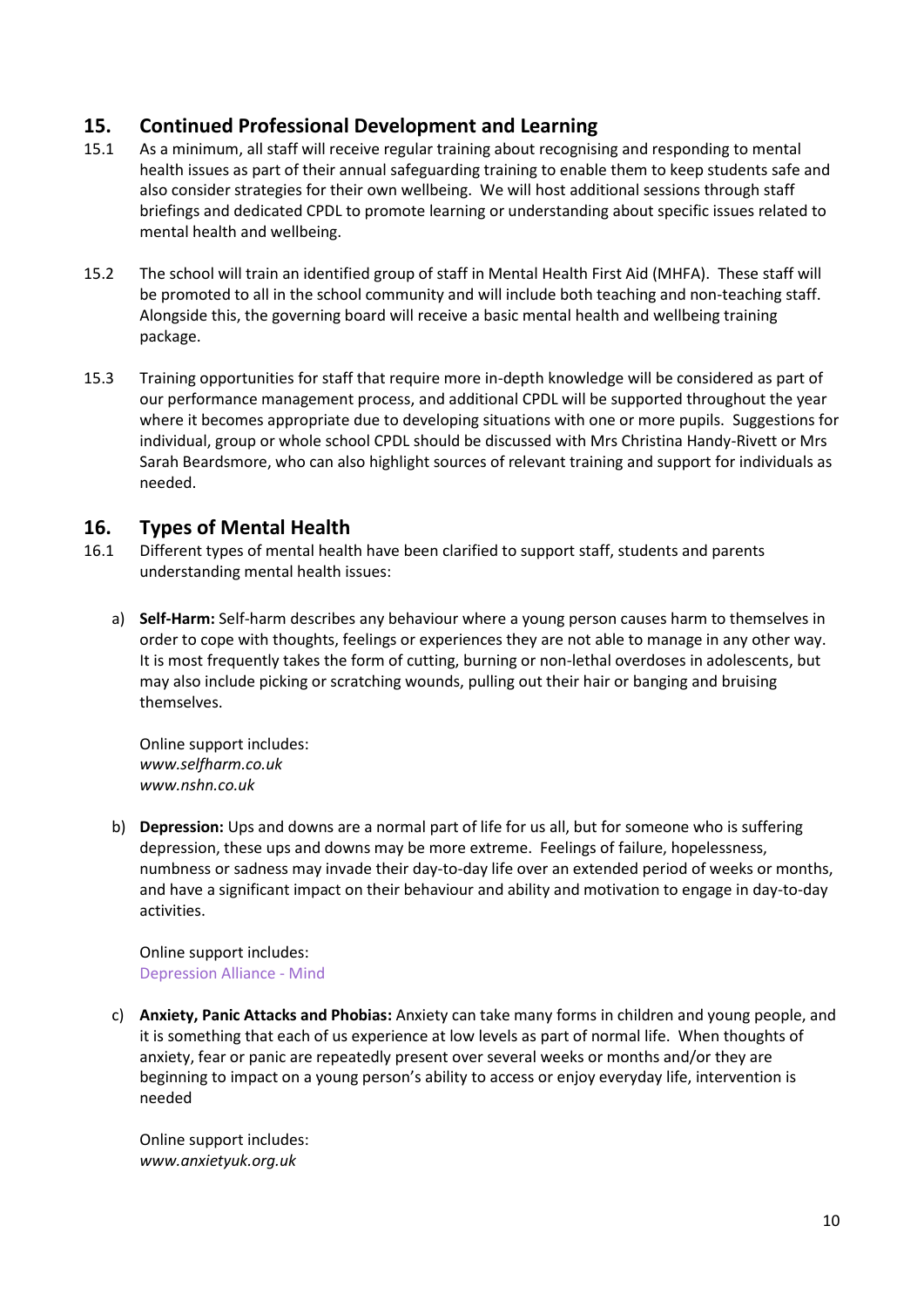## **15. Continued Professional Development and Learning**

- 15.1 As a minimum, all staff will receive regular training about recognising and responding to mental health issues as part of their annual safeguarding training to enable them to keep students safe and also consider strategies for their own wellbeing. We will host additional sessions through staff briefings and dedicated CPDL to promote learning or understanding about specific issues related to mental health and wellbeing.
- 15.2 The school will train an identified group of staff in Mental Health First Aid (MHFA). These staff will be promoted to all in the school community and will include both teaching and non-teaching staff. Alongside this, the governing board will receive a basic mental health and wellbeing training package.
- 15.3 Training opportunities for staff that require more in-depth knowledge will be considered as part of our performance management process, and additional CPDL will be supported throughout the year where it becomes appropriate due to developing situations with one or more pupils. Suggestions for individual, group or whole school CPDL should be discussed with Mrs Christina Handy-Rivett or Mrs Sarah Beardsmore, who can also highlight sources of relevant training and support for individuals as needed.

#### **16. Types of Mental Health**

- 16.1 Different types of mental health have been clarified to support staff, students and parents understanding mental health issues:
	- a) **Self-Harm:** Self-harm describes any behaviour where a young person causes harm to themselves in order to cope with thoughts, feelings or experiences they are not able to manage in any other way. It is most frequently takes the form of cutting, burning or non-lethal overdoses in adolescents, but may also include picking or scratching wounds, pulling out their hair or banging and bruising themselves.

Online support includes: *[www.selfharm.co.uk](http://www.selfharm.co.uk/) [www.nshn.co.uk](http://www.nshn.co.uk/)*

b) **Depression:** Ups and downs are a normal part of life for us all, but for someone who is suffering depression, these ups and downs may be more extreme. Feelings of failure, hopelessness, numbness or sadness may invade their day-to-day life over an extended period of weeks or months, and have a significant impact on their behaviour and ability and motivation to engage in day-to-day activities.

Online support includes: [Depression Alliance -](https://www.mind.org.uk/about-us/what-we-do/depression-alliance/) Mind

c) **Anxiety, Panic Attacks and Phobias:** Anxiety can take many forms in children and young people, and it is something that each of us experience at low levels as part of normal life. When thoughts of anxiety, fear or panic are repeatedly present over several weeks or months and/or they are beginning to impact on a young person's ability to access or enjoy everyday life, intervention is needed

Online support includes: *[www.anxietyuk.org.uk](http://www.anxietyuk.org.uk/)*